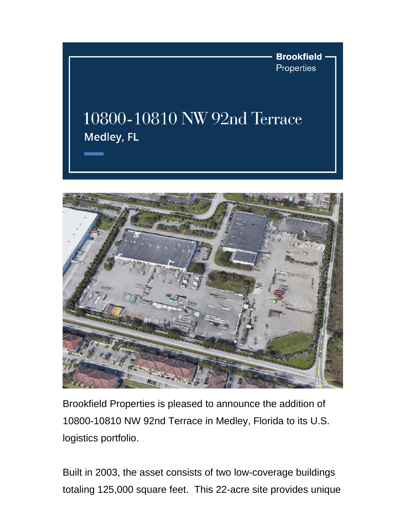**Brookfield** Properties

## 10800-10810 NW 92nd Terrace Medley, FL



Brookfield Properties is pleased to announce the addition of 10800-10810 NW 92nd Terrace in Medley, Florida to its U.S. logistics portfolio.

Built in 2003, the asset consists of two low-coverage buildings totaling 125,000 square feet. This 22-acre site provides unique